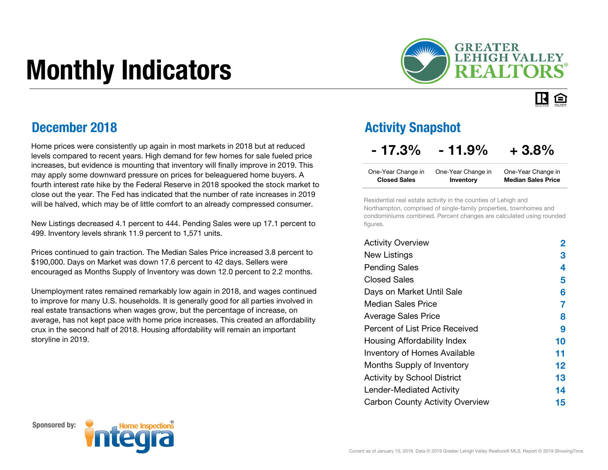# Monthly Indicators



#### IR. 臼

### December 2018

Home prices were consistently up again in most markets in 2018 but at reduced levels compared to recent years. High demand for few homes for sale fueled price increases, but evidence is mounting that inventory will finally improve in 2019. This may apply some downward pressure on prices for beleaguered home buyers. A fourth interest rate hike by the Federal Reserve in 2018 spooked the stock market to close out the year. The Fed has indicated that the number of rate increases in 2019 will be halved, which may be of little comfort to an already compressed consumer.

New Listings decreased 4.1 percent to 444. Pending Sales were up 17.1 percent to 499. Inventory levels shrank 11.9 percent to 1,571 units.

Prices continued to gain traction. The Median Sales Price increased 3.8 percent to \$190,000. Days on Market was down 17.6 percent to 42 days. Sellers were encouraged as Months Supply of Inventory was down 12.0 percent to 2.2 months.

Unemployment rates remained remarkably low again in 2018, and wages continued to improve for many U.S. households. It is generally good for all parties involved in real estate transactions when wages grow, but the percentage of increase, on average, has not kept pace with home price increases. This created an affordability crux in the second half of 2018. Housing affordability will remain an important storyline in 2019.

### Activity Snapshot

### $-17.3\% - 11.9\% + 3.8\%$

| One-Year Change in  | One-Year Change in | One-Year Change in        |
|---------------------|--------------------|---------------------------|
| <b>Closed Sales</b> | Inventory          | <b>Median Sales Price</b> |

Residential real estate activity in the counties of Lehigh and Northampton, comprised of single-family properties, townhomes and condominiums combined. Percent changes are calculated using rounded figures.

| <b>Activity Overview</b>               | 2       |
|----------------------------------------|---------|
| <b>New Listings</b>                    | З       |
| <b>Pending Sales</b>                   | 4       |
| <b>Closed Sales</b>                    | 5       |
| Days on Market Until Sale              | 6       |
| Median Sales Price                     | 7       |
| <b>Average Sales Price</b>             | 8       |
| Percent of List Price Received         | 9       |
| Housing Affordability Index            | 10      |
| <b>Inventory of Homes Available</b>    | 11      |
| Months Supply of Inventory             | $12 \,$ |
| <b>Activity by School District</b>     | 13      |
| Lender-Mediated Activity               | 14      |
| <b>Carbon County Activity Overview</b> | 15      |

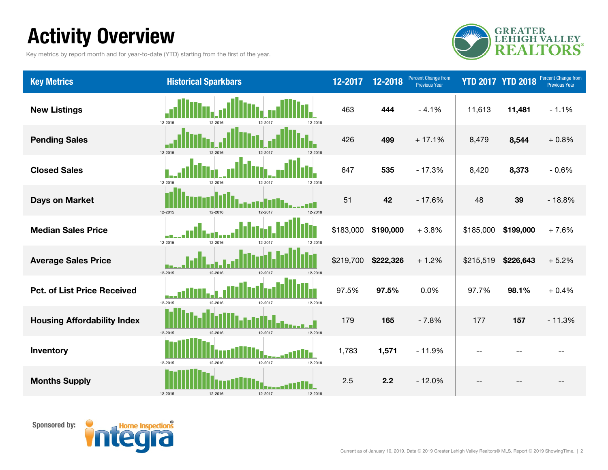# Activity Overview

Key metrics by report month and for year-to-date (YTD) starting from the first of the year.



| <b>Key Metrics</b>                 | <b>Historical Sparkbars</b>              | 12-2017   | 12-2018   | <b>Percent Change from</b><br>Previous Year |           | <b>YTD 2017 YTD 2018</b> | Percent Change from<br><b>Previous Year</b> |
|------------------------------------|------------------------------------------|-----------|-----------|---------------------------------------------|-----------|--------------------------|---------------------------------------------|
| <b>New Listings</b>                | 12-2015<br>12-2018<br>12-2016            | 463       | 444       | $-4.1%$                                     | 11,613    | 11,481                   | $-1.1%$                                     |
| <b>Pending Sales</b>               | 12-2015<br>12-2016<br>12-2017<br>12-2018 | 426       | 499       | $+17.1%$                                    | 8,479     | 8,544                    | $+0.8%$                                     |
| <b>Closed Sales</b>                | 12-2015<br>12-2017<br>12-2018<br>12-2016 | 647       | 535       | $-17.3%$                                    | 8,420     | 8,373                    | $-0.6%$                                     |
| <b>Days on Market</b>              | 12-2015<br>12-2017<br>12-2016<br>12-2018 | 51        | 42        | $-17.6%$                                    | 48        | 39                       | $-18.8%$                                    |
| <b>Median Sales Price</b>          | 12-2015<br>12-2016<br>12-2017<br>12-2018 | \$183,000 | \$190,000 | $+3.8%$                                     | \$185,000 | \$199,000                | $+7.6%$                                     |
| <b>Average Sales Price</b>         | 12-2015<br>12-2016<br>12-2017<br>12-2018 | \$219,700 | \$222,326 | $+1.2%$                                     | \$215,519 | \$226,643                | $+5.2%$                                     |
| <b>Pct. of List Price Received</b> | 12-2015<br>12-2018<br>12-201<br>12-2017  | 97.5%     | 97.5%     | 0.0%                                        | 97.7%     | 98.1%                    | $+0.4%$                                     |
| <b>Housing Affordability Index</b> | 12-2015<br>12-2016<br>12-2017<br>12-2018 | 179       | 165       | $-7.8%$                                     | 177       | 157                      | $-11.3%$                                    |
| Inventory                          | 12-2015<br>12-2016<br>12-2017<br>12-2018 | 1,783     | 1,571     | $-11.9%$                                    |           |                          |                                             |
| <b>Months Supply</b>               | 12-2015<br>12-2016<br>12-2017<br>12-2018 | 2.5       | 2.2       | $-12.0%$                                    |           |                          |                                             |

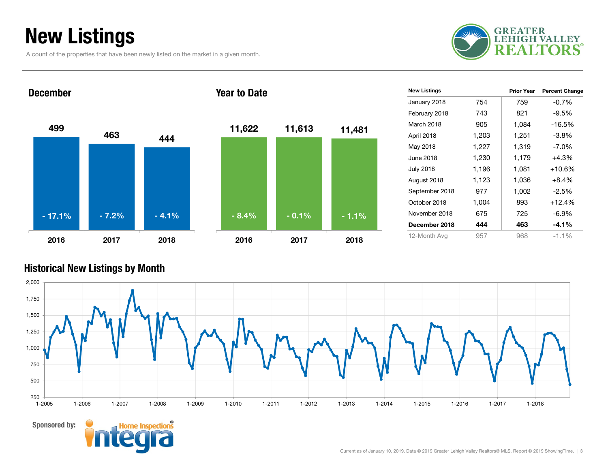# New Listings

A count of the properties that have been newly listed on the market in a given month.



499463 4442016 2017 2018December11,622 11,613 11,481 2016 2017 2018Year to Date- 17.1%% - 7.2% - 4.1% - 8.4% - 0.1% - 1.1%

| <b>New Listings</b> |       | <b>Prior Year</b> | <b>Percent Change</b> |
|---------------------|-------|-------------------|-----------------------|
| January 2018        | 754   | 759               | $-0.7%$               |
| February 2018       | 743   | 821               | $-9.5%$               |
| March 2018          | 905   | 1,084             | $-16.5%$              |
| April 2018          | 1,203 | 1,251             | $-3.8%$               |
| May 2018            | 1,227 | 1,319             | $-7.0\%$              |
| June 2018           | 1,230 | 1,179             | $+4.3%$               |
| July 2018           | 1,196 | 1,081             | +10.6%                |
| August 2018         | 1,123 | 1,036             | $+8.4%$               |
| September 2018      | 977   | 1,002             | $-2.5%$               |
| October 2018        | 1,004 | 893               | $+12.4%$              |
| November 2018       | 675   | 725               | $-6.9\%$              |
| December 2018       | 444   | 463               | $-4.1\%$              |
| 12-Month Avg        | 957   | 968               | $-1.1%$               |

#### Historical New Listings by Month



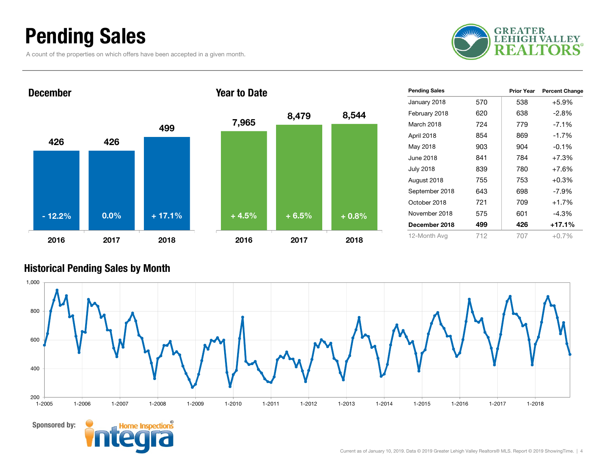### Pending Sales

A count of the properties on which offers have been accepted in a given month.





| <b>Pending Sales</b> |     | <b>Prior Year</b> | <b>Percent Change</b> |
|----------------------|-----|-------------------|-----------------------|
| January 2018         | 570 | 538               | $+5.9%$               |
| February 2018        | 620 | 638               | -2.8%                 |
| March 2018           | 724 | 779               | $-7.1%$               |
| April 2018           | 854 | 869               | $-1.7%$               |
| May 2018             | 903 | 904               | $-0.1%$               |
| June 2018            | 841 | 784               | $+7.3%$               |
| <b>July 2018</b>     | 839 | 780               | $+7.6%$               |
| August 2018          | 755 | 753               | $+0.3%$               |
| September 2018       | 643 | 698               | $-7.9\%$              |
| October 2018         | 721 | 709               | $+1.7%$               |
| November 2018        | 575 | 601               | $-4.3%$               |
| December 2018        | 499 | 426               | +17.1%                |
| 12-Month Avg         | 712 | 707               | $+0.7\%$              |

#### Historical Pending Sales by Month

Sponsored by:

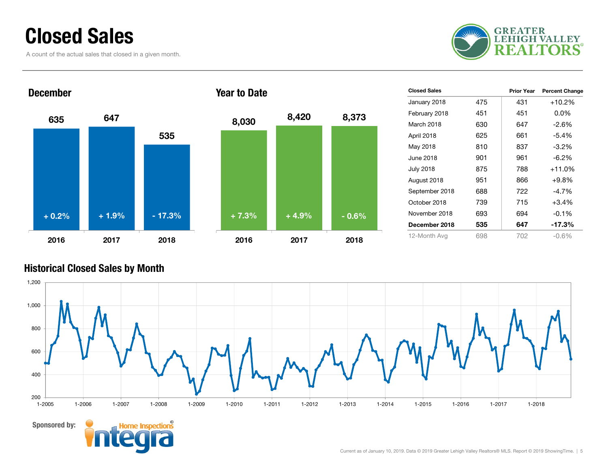### Closed Sales

A count of the actual sales that closed in a given month.



### 635 647 5352016 2017 2018DecemberYear to Date+ 0.2% $+ 1.9\%$  - 17.3%

| 8,030   | 8,420   | 8,373   |
|---------|---------|---------|
|         |         |         |
|         |         |         |
| $+7.3%$ | $+4.9%$ | $-0.6%$ |
| 2016    | 2017    | 2018    |

| <b>Closed Sales</b> |     | <b>Prior Year</b> | <b>Percent Change</b> |
|---------------------|-----|-------------------|-----------------------|
| January 2018        | 475 | 431               | $+10.2%$              |
| February 2018       | 451 | 451               | $0.0\%$               |
| March 2018          | 630 | 647               | $-2.6\%$              |
| April 2018          | 625 | 661               | $-5.4%$               |
| May 2018            | 810 | 837               | $-3.2%$               |
| June 2018           | 901 | 961               | $-6.2\%$              |
| <b>July 2018</b>    | 875 | 788               | $+11.0%$              |
| August 2018         | 951 | 866               | $+9.8%$               |
| September 2018      | 688 | 722               | $-4.7\%$              |
| October 2018        | 739 | 715               | $+3.4%$               |
| November 2018       | 693 | 694               | $-0.1%$               |
| December 2018       | 535 | 647               | $-17.3%$              |
| 12-Month Avg        | 698 | 702               | $-0.6%$               |

#### Historical Closed Sales by Month

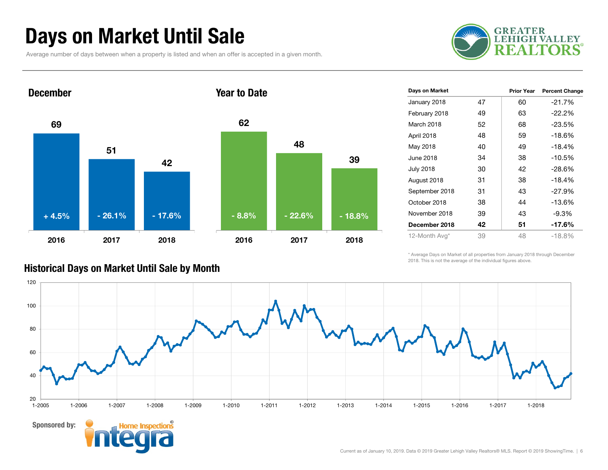### Days on Market Until Sale

Average number of days between when a property is listed and when an offer is accepted in a given month.





| Days on Market   |    | <b>Prior Year</b> | <b>Percent Change</b> |
|------------------|----|-------------------|-----------------------|
| January 2018     | 47 | 60                | $-21.7%$              |
| February 2018    | 49 | 63                | $-22.2%$              |
| March 2018       | 52 | 68                | $-23.5%$              |
| April 2018       | 48 | 59                | $-18.6%$              |
| May 2018         | 40 | 49                | $-18.4%$              |
| June 2018        | 34 | 38                | $-10.5%$              |
| <b>July 2018</b> | 30 | 42                | $-28.6%$              |
| August 2018      | 31 | 38                | $-18.4%$              |
| September 2018   | 31 | 43                | $-27.9%$              |
| October 2018     | 38 | 44                | -13.6%                |
| November 2018    | 39 | 43                | -9.3%                 |
| December 2018    | 42 | 51                | $-17.6%$              |
| 12-Month Avg*    | 39 | 48                | $-18.8%$              |

\* Average Days on Market of all properties from January 2018 through December 2018. This is not the average of the individual figures above.



#### Historical Days on Market Until Sale by Month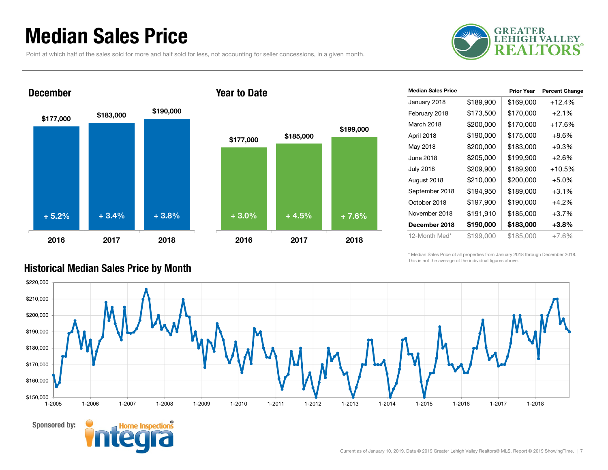### Median Sales Price

Point at which half of the sales sold for more and half sold for less, not accounting for seller concessions, in a given month.



#### December

Sponsored by:





| <b>Median Sales Price</b> |           | <b>Prior Year</b> | <b>Percent Change</b> |
|---------------------------|-----------|-------------------|-----------------------|
| January 2018              | \$189,900 | \$169,000         | $+12.4%$              |
| February 2018             | \$173,500 | \$170,000         | $+2.1%$               |
| March 2018                | \$200,000 | \$170,000         | $+17.6%$              |
| April 2018                | \$190,000 | \$175,000         | $+8.6\%$              |
| May 2018                  | \$200,000 | \$183,000         | $+9.3%$               |
| June 2018                 | \$205,000 | \$199,900         | $+2.6%$               |
| <b>July 2018</b>          | \$209,900 | \$189,900         | $+10.5%$              |
| August 2018               | \$210,000 | \$200,000         | $+5.0\%$              |
| September 2018            | \$194,950 | \$189,000         | $+3.1%$               |
| October 2018              | \$197,900 | \$190,000         | $+4.2%$               |
| November 2018             | \$191,910 | \$185,000         | $+3.7%$               |
| December 2018             | \$190,000 | \$183,000         | $+3.8\%$              |
| 12-Month Med*             | \$199,000 | \$185,000         | $+7.6%$               |

\* Median Sales Price of all properties from January 2018 through December 2018. This is not the average of the individual figures above.



#### Historical Median Sales Price by Month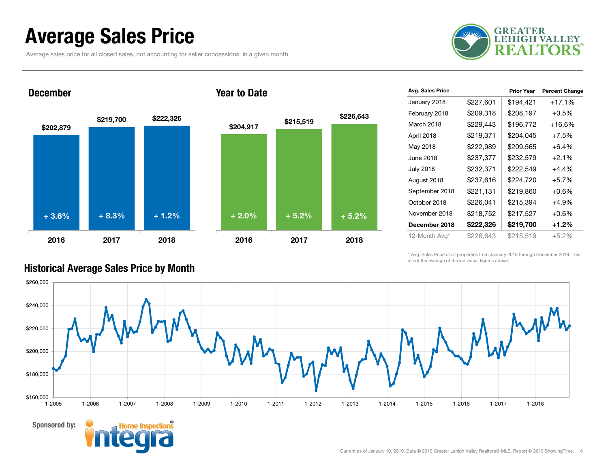### Average Sales Price

Average sales price for all closed sales, not accounting for seller concessions, in a given month.





#### Year to Date



| Avg. Sales Price |           | <b>Prior Year</b> | <b>Percent Change</b> |
|------------------|-----------|-------------------|-----------------------|
| January 2018     | \$227,601 | \$194,421         | +17.1%                |
| February 2018    | \$209,318 | \$208,197         | $+0.5%$               |
| March 2018       | \$229,443 | \$196,772         | +16.6%                |
| April 2018       | \$219,371 | \$204,045         | $+7.5%$               |
| May 2018         | \$222,989 | \$209,565         | $+6.4%$               |
| June 2018        | \$237,377 | \$232,579         | $+2.1%$               |
| <b>July 2018</b> | \$232,371 | \$222,549         | +4.4%                 |
| August 2018      | \$237,616 | \$224,720         | $+5.7%$               |
| September 2018   | \$221,131 | \$219,860         | $+0.6%$               |
| October 2018     | \$226,041 | \$215,394         | $+4.9%$               |
| November 2018    | \$218,752 | \$217,527         | $+0.6%$               |
| December 2018    | \$222,326 | \$219,700         | $+1.2%$               |
| 12-Month Avg*    | \$226,643 | \$215,519         | $+5.2%$               |

\* Avg. Sales Price of all properties from January 2018 through December 2018. This is not the average of the individual figures above.



#### Historical Average Sales Price by Month

Sponsored by:

December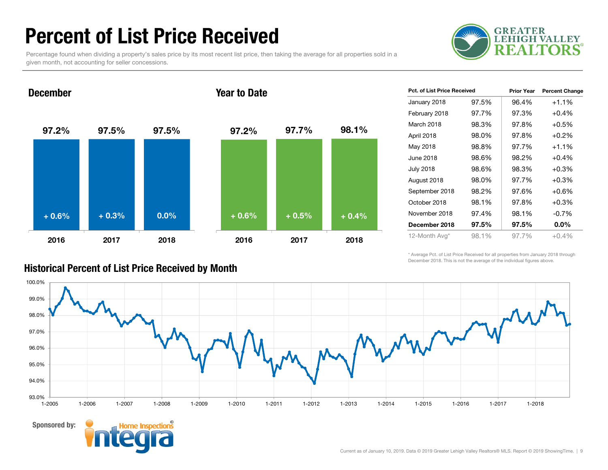### Percent of List Price Received

Percentage found when dividing a property's sales price by its most recent list price, then taking the average for all properties sold in a given month, not accounting for seller concessions.



December

#### Year to Date



| Pct. of List Price Received |       | <b>Prior Year</b> | <b>Percent Change</b> |
|-----------------------------|-------|-------------------|-----------------------|
| January 2018                | 97.5% | 96.4%             | $+1.1%$               |
| February 2018               | 97.7% | 97.3%             | $+0.4%$               |
| March 2018                  | 98.3% | 97.8%             | $+0.5%$               |
| April 2018                  | 98.0% | 97.8%             | $+0.2%$               |
| May 2018                    | 98.8% | 97.7%             | $+1.1%$               |
| June 2018                   | 98.6% | 98.2%             | $+0.4%$               |
| July 2018                   | 98.6% | 98.3%             | $+0.3%$               |
| August 2018                 | 98.0% | 97.7%             | $+0.3%$               |
| September 2018              | 98.2% | 97.6%             | $+0.6%$               |
| October 2018                | 98.1% | 97.8%             | $+0.3%$               |
| November 2018               | 97.4% | 98.1%             | $-0.7\%$              |
| December 2018               | 97.5% | 97.5%             | $0.0\%$               |
| 12-Month Avg*               | 98.1% | 97.7%             | $+0.4%$               |

\* Average Pct. of List Price Received for all properties from January 2018 through December 2018. This is not the average of the individual figures above.





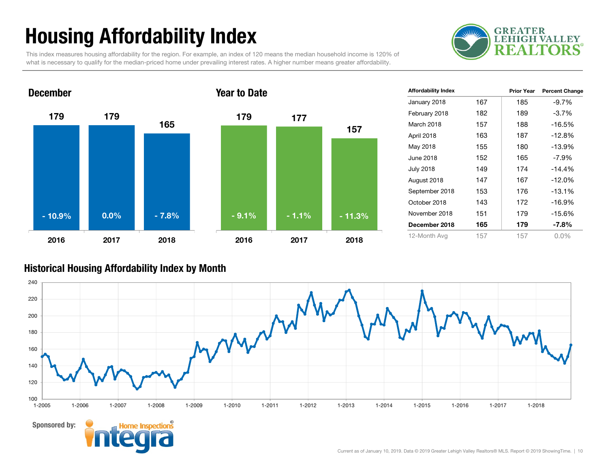# Housing Affordability Index

**GREATER LEHIGH VALLEY** F.

This index measures housing affordability for the region. For example, an index of 120 means the median household income is 120% of what is necessary to qualify for the median-priced home under prevailing interest rates. A higher number means greater affordability.



| <b>Affordability Index</b> |     | <b>Prior Year</b> | <b>Percent Change</b> |
|----------------------------|-----|-------------------|-----------------------|
| January 2018               | 167 | 185               | $-9.7%$               |
| February 2018              | 182 | 189               | $-3.7%$               |
| March 2018                 | 157 | 188               | $-16.5%$              |
| April 2018                 | 163 | 187               | $-12.8%$              |
| May 2018                   | 155 | 180               | $-13.9%$              |
| June 2018                  | 152 | 165               | $-7.9\%$              |
| <b>July 2018</b>           | 149 | 174               | $-14.4%$              |
| August 2018                | 147 | 167               | $-12.0%$              |
| September 2018             | 153 | 176               | $-13.1%$              |
| October 2018               | 143 | 172               | $-16.9%$              |
| November 2018              | 151 | 179               | $-15.6%$              |
| December 2018              | 165 | 179               | $-7.8%$               |
| 12-Month Avg               | 157 | 157               | $0.0\%$               |

#### Historical Housing Affordability Index by Mont h

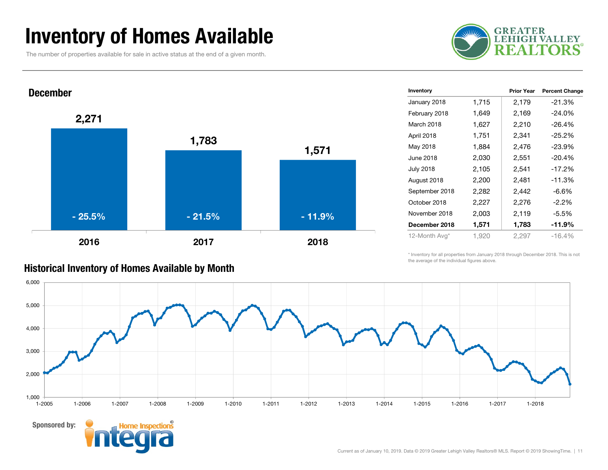### Inventory of Homes Available

The number of properties available for sale in active status at the end of a given month.





| <b>Historical Inventory of Homes Available by Month</b> |  |  |  |
|---------------------------------------------------------|--|--|--|
|---------------------------------------------------------|--|--|--|

Sponsored by:

| Inventory        |       | <b>Prior Year</b> | <b>Percent Change</b> |
|------------------|-------|-------------------|-----------------------|
| January 2018     | 1,715 | 2,179             | $-21.3%$              |
| February 2018    | 1,649 | 2,169             | $-24.0%$              |
| March 2018       | 1,627 | 2,210             | $-26.4\%$             |
| April 2018       | 1,751 | 2,341             | $-25.2\%$             |
| May 2018         | 1,884 | 2,476             | $-23.9%$              |
| June 2018        | 2,030 | 2,551             | $-20.4%$              |
| <b>July 2018</b> | 2,105 | 2,541             | $-17.2%$              |
| August 2018      | 2,200 | 2,481             | $-11.3%$              |
| September 2018   | 2,282 | 2,442             | $-6.6%$               |
| October 2018     | 2,227 | 2,276             | $-2.2\%$              |
| November 2018    | 2,003 | 2,119             | $-5.5%$               |
| December 2018    | 1,571 | 1,783             | -11.9%                |
| 12-Month Avg*    | 1,920 | 2,297             | $-16.4%$              |

\* Inventory for all properties from January 2018 through December 2018. This is not the average of the individual figures above.

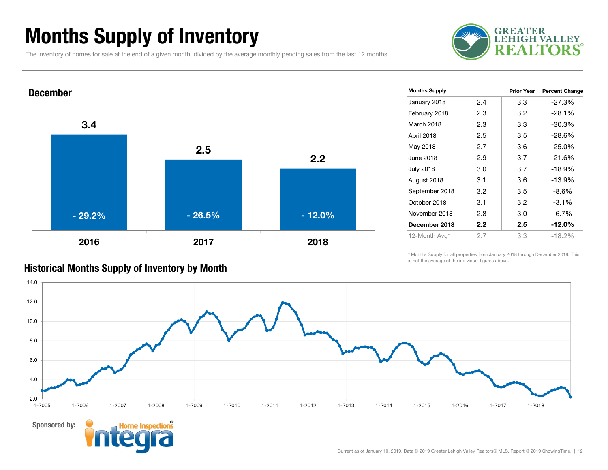### Months Supply of Inventory

The inventory of homes for sale at the end of a given month, divided by the average monthly pending sales from the last 12 months.





| <b>Months Supply</b> |                  | <b>Prior Year</b> | <b>Percent Change</b> |
|----------------------|------------------|-------------------|-----------------------|
| January 2018         | 2.4              | 3.3               | $-27.3%$              |
| February 2018        | 2.3              | 3.2               | $-28.1%$              |
| March 2018           | 2.3              | 3.3               | $-30.3%$              |
| April 2018           | 2.5              | 3.5               | $-28.6%$              |
| May 2018             | 2.7              | 3.6               | $-25.0%$              |
| June 2018            | 2.9              | 3.7               | $-21.6%$              |
| <b>July 2018</b>     | 3.0              | 3.7               | $-18.9%$              |
| August 2018          | 3.1              | 3.6               | $-13.9%$              |
| September 2018       | 3.2              | 3.5               | -8.6%                 |
| October 2018         | 3.1              | 3.2               | $-3.1%$               |
| November 2018        | 2.8              | 3.0               | $-6.7%$               |
| December 2018        | $2.2\phantom{0}$ | 2.5               | $-12.0\%$             |
| 12-Month Avg*        | 2.7              | 3.3               | $-18.2%$              |
|                      |                  |                   |                       |

\* Months Supply for all properties from January 2018 through December 2018. This is not the average of the individual figures above.



#### Historical Months Supply of Inventory by Month

Sponsored by: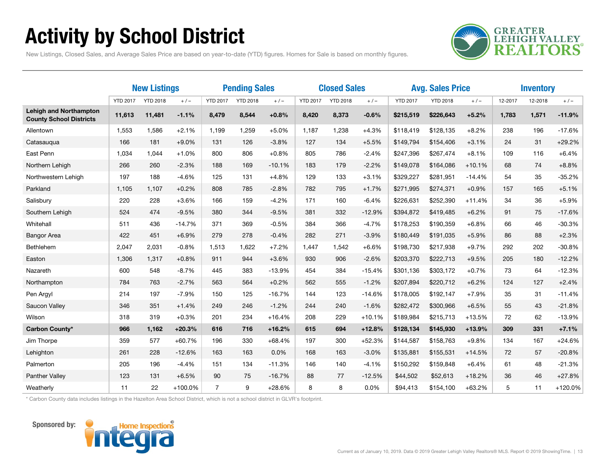# Activity by School District



New Listings, Closed Sales, and Average Sales Price are based on year-to-date (YTD) figures. Homes for Sale is based on monthly figures.

|                                                                 | <b>New Listings</b> |                 |          | <b>Pending Sales</b> |                 | <b>Closed Sales</b> |                 |                 | <b>Avg. Sales Price</b> |                 |                 | <b>Inventory</b> |         |         |          |
|-----------------------------------------------------------------|---------------------|-----------------|----------|----------------------|-----------------|---------------------|-----------------|-----------------|-------------------------|-----------------|-----------------|------------------|---------|---------|----------|
|                                                                 | <b>YTD 2017</b>     | <b>YTD 2018</b> | $+/-$    | <b>YTD 2017</b>      | <b>YTD 2018</b> | $+/-$               | <b>YTD 2017</b> | <b>YTD 2018</b> | $+/-$                   | <b>YTD 2017</b> | <b>YTD 2018</b> | $+/-$            | 12-2017 | 12-2018 | $+/-$    |
| <b>Lehigh and Northampton</b><br><b>County School Districts</b> | 11,613              | 11,481          | $-1.1%$  | 8,479                | 8,544           | $+0.8%$             | 8,420           | 8,373           | $-0.6%$                 | \$215,519       | \$226,643       | $+5.2%$          | 1,783   | 1,571   | $-11.9%$ |
| Allentown                                                       | 1,553               | 1,586           | $+2.1%$  | 1,199                | 1,259           | $+5.0%$             | 1,187           | 1,238           | $+4.3%$                 | \$118,419       | \$128,135       | $+8.2%$          | 238     | 196     | $-17.6%$ |
| Catasauqua                                                      | 166                 | 181             | $+9.0%$  | 131                  | 126             | $-3.8%$             | 127             | 134             | $+5.5%$                 | \$149,794       | \$154,406       | $+3.1%$          | 24      | 31      | $+29.2%$ |
| East Penn                                                       | 1,034               | 1,044           | $+1.0%$  | 800                  | 806             | $+0.8%$             | 805             | 786             | $-2.4%$                 | \$247,396       | \$267,474       | $+8.1%$          | 109     | 116     | $+6.4%$  |
| Northern Lehigh                                                 | 266                 | 260             | $-2.3%$  | 188                  | 169             | $-10.1%$            | 183             | 179             | $-2.2%$                 | \$149,078       | \$164,086       | $+10.1%$         | 68      | 74      | $+8.8%$  |
| Northwestern Lehigh                                             | 197                 | 188             | $-4.6%$  | 125                  | 131             | $+4.8%$             | 129             | 133             | $+3.1%$                 | \$329,227       | \$281,951       | $-14.4%$         | 54      | 35      | $-35.2%$ |
| Parkland                                                        | 1,105               | 1,107           | $+0.2%$  | 808                  | 785             | $-2.8%$             | 782             | 795             | $+1.7%$                 | \$271,995       | \$274,371       | $+0.9%$          | 157     | 165     | $+5.1%$  |
| Salisbury                                                       | 220                 | 228             | $+3.6%$  | 166                  | 159             | $-4.2%$             | 171             | 160             | $-6.4%$                 | \$226,631       | \$252,390       | $+11.4%$         | 34      | 36      | $+5.9%$  |
| Southern Lehigh                                                 | 524                 | 474             | $-9.5%$  | 380                  | 344             | $-9.5%$             | 381             | 332             | $-12.9%$                | \$394,872       | \$419,485       | $+6.2%$          | 91      | 75      | $-17.6%$ |
| Whitehall                                                       | 511                 | 436             | $-14.7%$ | 371                  | 369             | $-0.5%$             | 384             | 366             | $-4.7%$                 | \$178,253       | \$190,359       | $+6.8%$          | 66      | 46      | $-30.3%$ |
| <b>Bangor Area</b>                                              | 422                 | 451             | $+6.9%$  | 279                  | 278             | $-0.4%$             | 282             | 271             | $-3.9%$                 | \$180,449       | \$191,035       | $+5.9%$          | 86      | 88      | $+2.3%$  |
| Bethlehem                                                       | 2,047               | 2,031           | $-0.8%$  | 1,513                | 1,622           | $+7.2%$             | 1,447           | 1,542           | $+6.6%$                 | \$198,730       | \$217,938       | $+9.7%$          | 292     | 202     | $-30.8%$ |
| Easton                                                          | 1,306               | 1,317           | $+0.8%$  | 911                  | 944             | $+3.6%$             | 930             | 906             | $-2.6%$                 | \$203,370       | \$222,713       | $+9.5%$          | 205     | 180     | $-12.2%$ |
| Nazareth                                                        | 600                 | 548             | $-8.7%$  | 445                  | 383             | $-13.9%$            | 454             | 384             | $-15.4%$                | \$301,136       | \$303,172       | $+0.7%$          | 73      | 64      | $-12.3%$ |
| Northampton                                                     | 784                 | 763             | $-2.7%$  | 563                  | 564             | $+0.2%$             | 562             | 555             | $-1.2%$                 | \$207,894       | \$220,712       | $+6.2%$          | 124     | 127     | $+2.4%$  |
| Pen Argyl                                                       | 214                 | 197             | $-7.9%$  | 150                  | 125             | $-16.7%$            | 144             | 123             | $-14.6%$                | \$178,005       | \$192,147       | $+7.9%$          | 35      | 31      | $-11.4%$ |
| Saucon Valley                                                   | 346                 | 351             | $+1.4%$  | 249                  | 246             | $-1.2%$             | 244             | 240             | $-1.6%$                 | \$282,472       | \$300,966       | $+6.5%$          | 55      | 43      | $-21.8%$ |
| Wilson                                                          | 318                 | 319             | $+0.3%$  | 201                  | 234             | $+16.4%$            | 208             | 229             | $+10.1%$                | \$189,984       | \$215,713       | $+13.5%$         | 72      | 62      | $-13.9%$ |
| Carbon County*                                                  | 966                 | 1,162           | $+20.3%$ | 616                  | 716             | $+16.2%$            | 615             | 694             | $+12.8%$                | \$128,134       | \$145,930       | $+13.9%$         | 309     | 331     | $+7.1%$  |
| Jim Thorpe                                                      | 359                 | 577             | $+60.7%$ | 196                  | 330             | $+68.4%$            | 197             | 300             | $+52.3%$                | \$144,587       | \$158,763       | $+9.8%$          | 134     | 167     | $+24.6%$ |
| Lehighton                                                       | 261                 | 228             | $-12.6%$ | 163                  | 163             | 0.0%                | 168             | 163             | $-3.0%$                 | \$135,881       | \$155,531       | $+14.5%$         | 72      | 57      | $-20.8%$ |
| Palmerton                                                       | 205                 | 196             | $-4.4%$  | 151                  | 134             | $-11.3%$            | 146             | 140             | $-4.1%$                 | \$150,292       | \$159,848       | $+6.4%$          | 61      | 48      | $-21.3%$ |
| Panther Valley                                                  | 123                 | 131             | $+6.5%$  | 90                   | 75              | $-16.7%$            | 88              | 77              | $-12.5%$                | \$44,502        | \$52,613        | $+18.2%$         | 36      | 46      | $+27.8%$ |
| Weatherly                                                       | 11                  | 22              | +100.0%  | $\overline{7}$       | 9               | $+28.6%$            | 8               | 8               | 0.0%                    | \$94,413        | \$154,100       | $+63.2%$         | 5       | 11      | +120.0%  |

\* Carbon County data includes listings in the Hazelton Area School District, which is not a school district in GLVR's footprint.



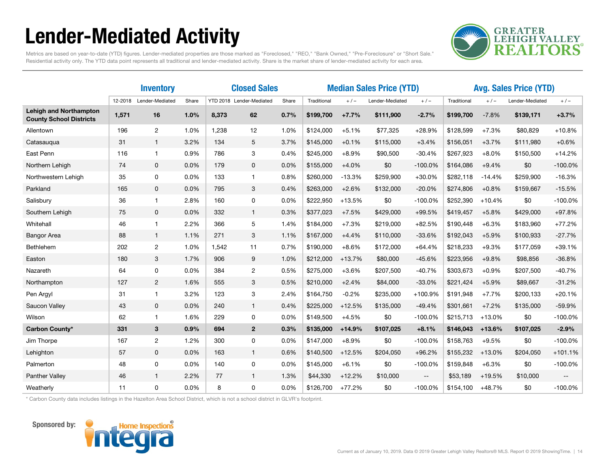# Lender-Mediated Activity



Metrics are based on year-to-date (YTD) figures. Lender-mediated properties are those marked as "Foreclosed," "REO," "Bank Owned," "Pre-Foreclosure" or "Short Sale." Residential activity only. The YTD data point represents all traditional and lender-mediated activity. Share is the market share of lender-mediated activity for each area.

|                                                                 | <b>Inventory</b> |                 |       |       | <b>Closed Sales</b>      |       |             | <b>Median Sales Price (YTD)</b> |                 |                          | <b>Avg. Sales Price (YTD)</b> |          |                 |                          |
|-----------------------------------------------------------------|------------------|-----------------|-------|-------|--------------------------|-------|-------------|---------------------------------|-----------------|--------------------------|-------------------------------|----------|-----------------|--------------------------|
|                                                                 | 12-2018          | Lender-Mediated | Share |       | YTD 2018 Lender-Mediated | Share | Traditional | $+/-$                           | Lender-Mediated | $+/-$                    | Traditional                   | $+/-$    | Lender-Mediated | $+/-$                    |
| <b>Lehigh and Northampton</b><br><b>County School Districts</b> | 1,571            | 16              | 1.0%  | 8,373 | 62                       | 0.7%  | \$199,700   | $+7.7%$                         | \$111,900       | $-2.7%$                  | \$199,700                     | $-7.8%$  | \$139,171       | $+3.7%$                  |
| Allentown                                                       | 196              | $\overline{2}$  | 1.0%  | 1,238 | 12                       | 1.0%  | \$124,000   | $+5.1%$                         | \$77,325        | $+28.9%$                 | \$128,599                     | $+7.3%$  | \$80,829        | $+10.8%$                 |
| Catasaugua                                                      | 31               | $\mathbf{1}$    | 3.2%  | 134   | 5                        | 3.7%  | \$145,000   | $+0.1%$                         | \$115,000       | $+3.4%$                  | \$156,051                     | $+3.7%$  | \$111,980       | $+0.6%$                  |
| East Penn                                                       | 116              | $\mathbf{1}$    | 0.9%  | 786   | 3                        | 0.4%  | \$245,000   | $+8.9%$                         | \$90,500        | $-30.4%$                 | \$267,923                     | $+8.0%$  | \$150,500       | $+14.2%$                 |
| Northern Lehigh                                                 | 74               | 0               | 0.0%  | 179   | 0                        | 0.0%  | \$155,000   | $+4.0%$                         | \$0             | $-100.0%$                | \$164,086                     | $+9.4%$  | \$0             | $-100.0%$                |
| Northwestern Lehigh                                             | 35               | 0               | 0.0%  | 133   | $\mathbf{1}$             | 0.8%  | \$260,000   | $-13.3%$                        | \$259,900       | $+30.0%$                 | \$282,118                     | $-14.4%$ | \$259,900       | $-16.3%$                 |
| Parkland                                                        | 165              | $\mathbf 0$     | 0.0%  | 795   | 3                        | 0.4%  | \$263,000   | $+2.6%$                         | \$132,000       | $-20.0%$                 | \$274,806                     | $+0.8%$  | \$159,667       | $-15.5%$                 |
| Salisbury                                                       | 36               | $\mathbf{1}$    | 2.8%  | 160   | 0                        | 0.0%  | \$222,950   | $+13.5%$                        | \$0             | $-100.0%$                | \$252,390                     | $+10.4%$ | \$0             | $-100.0%$                |
| Southern Lehigh                                                 | 75               | $\mathbf{0}$    | 0.0%  | 332   | $\mathbf{1}$             | 0.3%  | \$377,023   | $+7.5%$                         | \$429,000       | $+99.5%$                 | \$419,457                     | $+5.8%$  | \$429,000       | $+97.8%$                 |
| Whitehall                                                       | 46               | 1               | 2.2%  | 366   | 5                        | 1.4%  | \$184,000   | $+7.3%$                         | \$219,000       | $+82.5%$                 | \$190,448                     | $+6.3%$  | \$183,960       | $+77.2%$                 |
| <b>Bangor Area</b>                                              | 88               | $\mathbf{1}$    | 1.1%  | 271   | 3                        | 1.1%  | \$167,000   | $+4.4%$                         | \$110,000       | $-33.6%$                 | \$192,043                     | $+5.9%$  | \$100,933       | $-27.7%$                 |
| Bethlehem                                                       | 202              | $\mathbf{2}$    | 1.0%  | 1,542 | 11                       | 0.7%  | \$190,000   | $+8.6%$                         | \$172,000       | $+64.4%$                 | \$218,233                     | $+9.3%$  | \$177,059       | $+39.1%$                 |
| Easton                                                          | 180              | 3               | 1.7%  | 906   | 9                        | 1.0%  | \$212,000   | $+13.7%$                        | \$80,000        | $-45.6%$                 | \$223,956                     | $+9.8%$  | \$98,856        | $-36.8%$                 |
| Nazareth                                                        | 64               | 0               | 0.0%  | 384   | $\overline{2}$           | 0.5%  | \$275,000   | $+3.6%$                         | \$207,500       | $-40.7%$                 | \$303,673                     | $+0.9%$  | \$207,500       | $-40.7%$                 |
| Northampton                                                     | 127              | $\overline{2}$  | 1.6%  | 555   | 3                        | 0.5%  | \$210,000   | $+2.4%$                         | \$84,000        | $-33.0%$                 | \$221,424                     | $+5.9%$  | \$89,667        | $-31.2%$                 |
| Pen Argyl                                                       | 31               | $\mathbf{1}$    | 3.2%  | 123   | 3                        | 2.4%  | \$164,750   | $-0.2%$                         | \$235,000       | +100.9%                  | \$191,948                     | $+7.7%$  | \$200,133       | $+20.1%$                 |
| Saucon Valley                                                   | 43               | $\mathbf 0$     | 0.0%  | 240   | $\mathbf{1}$             | 0.4%  | \$225,000   | $+12.5%$                        | \$135,000       | $-49.4%$                 | \$301,661                     | $+7.2%$  | \$135,000       | $-59.9%$                 |
| Wilson                                                          | 62               | $\mathbf{1}$    | 1.6%  | 229   | 0                        | 0.0%  | \$149,500   | $+4.5%$                         | \$0             | $-100.0%$                | \$215,713                     | +13.0%   | \$0             | $-100.0%$                |
| Carbon County*                                                  | 331              | 3               | 0.9%  | 694   | $\overline{2}$           | 0.3%  | \$135,000   | $+14.9%$                        | \$107,025       | $+8.1%$                  | \$146,043                     | $+13.6%$ | \$107,025       | $-2.9%$                  |
| Jim Thorpe                                                      | 167              | $\overline{c}$  | 1.2%  | 300   | 0                        | 0.0%  | \$147,000   | $+8.9%$                         | \$0             | $-100.0%$                | \$158,763                     | $+9.5%$  | \$0             | $-100.0%$                |
| Lehighton                                                       | 57               | $\mathbf 0$     | 0.0%  | 163   | $\mathbf{1}$             | 0.6%  | \$140,500   | $+12.5%$                        | \$204,050       | $+96.2%$                 | \$155,232                     | $+13.0%$ | \$204,050       | $+101.1%$                |
| Palmerton                                                       | 48               | 0               | 0.0%  | 140   | 0                        | 0.0%  | \$145,000   | $+6.1%$                         | \$0             | $-100.0%$                | \$159,848                     | $+6.3%$  | \$0             | $-100.0%$                |
| Panther Valley                                                  | 46               | $\mathbf{1}$    | 2.2%  | 77    | $\mathbf{1}$             | 1.3%  | \$44,330    | $+12.2%$                        | \$10,000        | $\overline{\phantom{a}}$ | \$53,189                      | $+19.5%$ | \$10,000        | $\overline{\phantom{a}}$ |
| Weatherly                                                       | 11               | 0               | 0.0%  | 8     | 0                        | 0.0%  | \$126,700   | $+77.2%$                        | \$0             | $-100.0%$                | \$154,100                     | $+48.7%$ | \$0             | $-100.0%$                |

\* Carbon County data includes listings in the Hazelton Area School District, which is not a school district in GLVR's footprint.